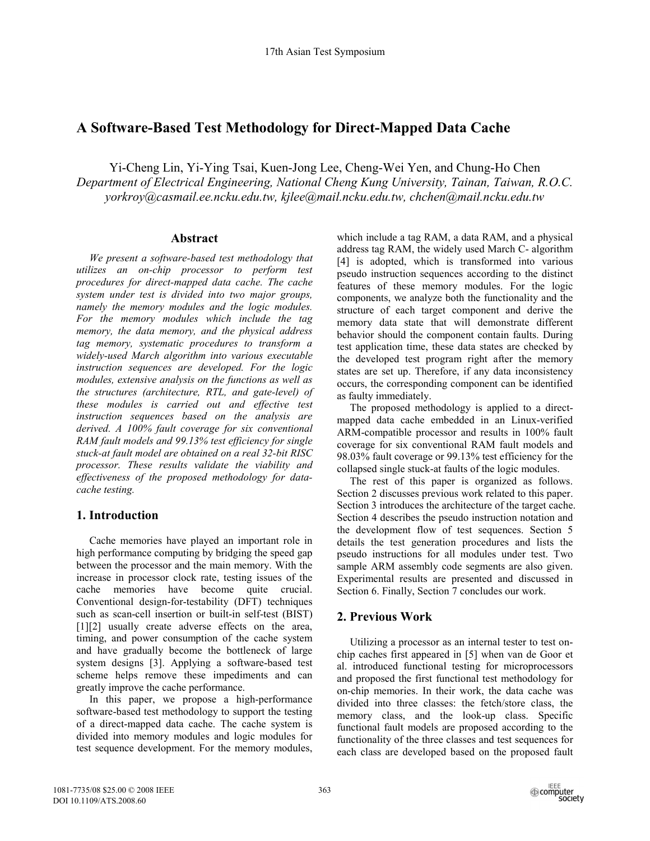# **A Software-Based Test Methodology for Direct-Mapped Data Cache**

Yi-Cheng Lin, Yi-Ying Tsai, Kuen-Jong Lee, Cheng-Wei Yen, and Chung-Ho Chen *Department of Electrical Engineering, National Cheng Kung University, Tainan, Taiwan, R.O.C. yorkroy@casmail.ee.ncku.edu.tw, kjlee@mail.ncku.edu.tw, chchen@mail.ncku.edu.tw* 

# **Abstract**

*We present a software-based test methodology that utilizes an on-chip processor to perform test procedures for direct-mapped data cache. The cache system under test is divided into two major groups, namely the memory modules and the logic modules. For the memory modules which include the tag memory, the data memory, and the physical address tag memory, systematic procedures to transform a widely-used March algorithm into various executable instruction sequences are developed. For the logic modules, extensive analysis on the functions as well as the structures (architecture, RTL, and gate-level) of these modules is carried out and effective test instruction sequences based on the analysis are derived. A 100% fault coverage for six conventional RAM fault models and 99.13% test efficiency for single stuck-at fault model are obtained on a real 32-bit RISC processor. These results validate the viability and effectiveness of the proposed methodology for datacache testing.* 

# **1. Introduction**

Cache memories have played an important role in high performance computing by bridging the speed gap between the processor and the main memory. With the increase in processor clock rate, testing issues of the cache memories have become quite crucial. Conventional design-for-testability (DFT) techniques such as scan-cell insertion or built-in self-test (BIST) [1][2] usually create adverse effects on the area, timing, and power consumption of the cache system and have gradually become the bottleneck of large system designs [3]. Applying a software-based test scheme helps remove these impediments and can greatly improve the cache performance.

In this paper, we propose a high-performance software-based test methodology to support the testing of a direct-mapped data cache. The cache system is divided into memory modules and logic modules for test sequence development. For the memory modules,

which include a tag RAM, a data RAM, and a physical address tag RAM, the widely used March C- algorithm [4] is adopted, which is transformed into various pseudo instruction sequences according to the distinct features of these memory modules. For the logic components, we analyze both the functionality and the structure of each target component and derive the memory data state that will demonstrate different behavior should the component contain faults. During test application time, these data states are checked by the developed test program right after the memory states are set up. Therefore, if any data inconsistency occurs, the corresponding component can be identified as faulty immediately.

The proposed methodology is applied to a directmapped data cache embedded in an Linux-verified ARM-compatible processor and results in 100% fault coverage for six conventional RAM fault models and 98.03% fault coverage or 99.13% test efficiency for the collapsed single stuck-at faults of the logic modules.

The rest of this paper is organized as follows. Section 2 discusses previous work related to this paper. Section 3 introduces the architecture of the target cache. Section 4 describes the pseudo instruction notation and the development flow of test sequences. Section 5 details the test generation procedures and lists the pseudo instructions for all modules under test. Two sample ARM assembly code segments are also given. Experimental results are presented and discussed in Section 6. Finally, Section 7 concludes our work.

# **2. Previous Work**

Utilizing a processor as an internal tester to test onchip caches first appeared in [5] when van de Goor et al. introduced functional testing for microprocessors and proposed the first functional test methodology for on-chip memories. In their work, the data cache was divided into three classes: the fetch/store class, the memory class, and the look-up class. Specific functional fault models are proposed according to the functionality of the three classes and test sequences for each class are developed based on the proposed fault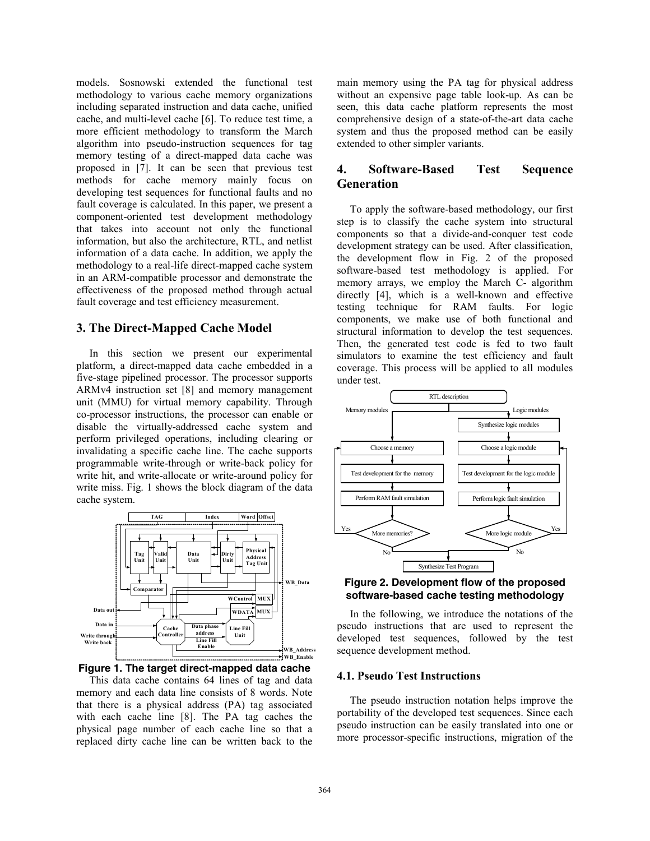models. Sosnowski extended the functional test methodology to various cache memory organizations including separated instruction and data cache, unified cache, and multi-level cache [6]. To reduce test time, a more efficient methodology to transform the March algorithm into pseudo-instruction sequences for tag memory testing of a direct-mapped data cache was proposed in [7]. It can be seen that previous test methods for cache memory mainly focus on developing test sequences for functional faults and no fault coverage is calculated. In this paper, we present a component-oriented test development methodology that takes into account not only the functional information, but also the architecture, RTL, and netlist information of a data cache. In addition, we apply the methodology to a real-life direct-mapped cache system in an ARM-compatible processor and demonstrate the effectiveness of the proposed method through actual fault coverage and test efficiency measurement.

## **3. The Direct-Mapped Cache Model**

In this section we present our experimental platform, a direct-mapped data cache embedded in a five-stage pipelined processor. The processor supports ARMv4 instruction set [8] and memory management unit (MMU) for virtual memory capability. Through co-processor instructions, the processor can enable or disable the virtually-addressed cache system and perform privileged operations, including clearing or invalidating a specific cache line. The cache supports programmable write-through or write-back policy for write hit, and write-allocate or write-around policy for write miss. Fig. 1 shows the block diagram of the data cache system.



**Figure 1. The target direct-mapped data cache** This data cache contains 64 lines of tag and data memory and each data line consists of 8 words. Note that there is a physical address (PA) tag associated with each cache line [8]. The PA tag caches the physical page number of each cache line so that a

replaced dirty cache line can be written back to the

main memory using the PA tag for physical address without an expensive page table look-up. As can be seen, this data cache platform represents the most comprehensive design of a state-of-the-art data cache system and thus the proposed method can be easily extended to other simpler variants.

# **4. Software-Based Test Sequence Generation**

To apply the software-based methodology, our first step is to classify the cache system into structural components so that a divide-and-conquer test code development strategy can be used. After classification, the development flow in Fig. 2 of the proposed software-based test methodology is applied. For memory arrays, we employ the March C- algorithm directly [4], which is a well-known and effective testing technique for RAM faults. For logic components, we make use of both functional and structural information to develop the test sequences. Then, the generated test code is fed to two fault simulators to examine the test efficiency and fault coverage. This process will be applied to all modules under test.



#### **Figure 2. Development flow of the proposed software-based cache testing methodology**

In the following, we introduce the notations of the pseudo instructions that are used to represent the developed test sequences, followed by the test sequence development method.

#### **4.1. Pseudo Test Instructions**

The pseudo instruction notation helps improve the portability of the developed test sequences. Since each pseudo instruction can be easily translated into one or more processor-specific instructions, migration of the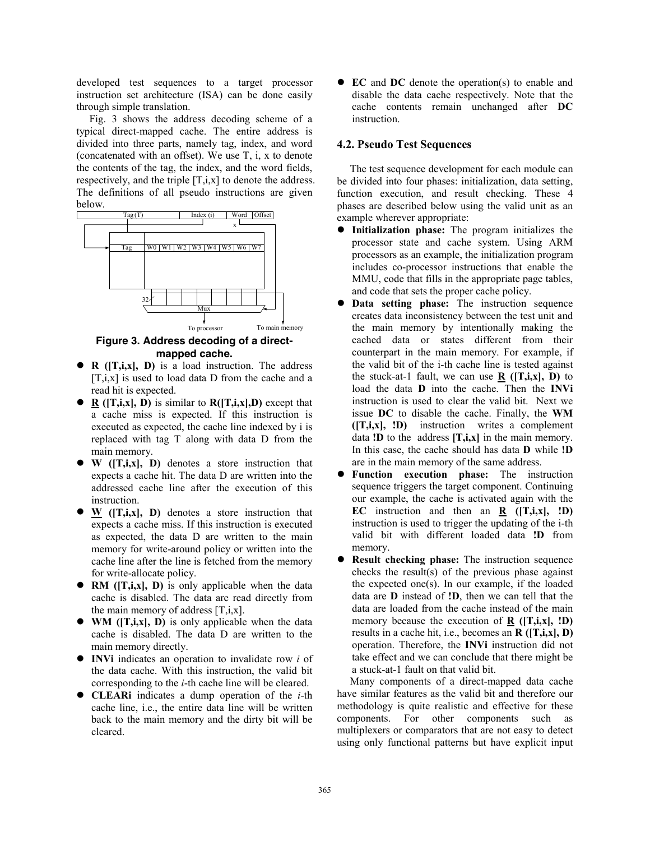developed test sequences to a target processor instruction set architecture (ISA) can be done easily through simple translation.

Fig. 3 shows the address decoding scheme of a typical direct-mapped cache. The entire address is divided into three parts, namely tag, index, and word (concatenated with an offset). We use T, i, x to denote the contents of the tag, the index, and the word fields, respectively, and the triple [T,i,x] to denote the address. The definitions of all pseudo instructions are given below.



**Figure 3. Address decoding of a directmapped cache.**

- **R** ([T,**i**,**x**], **D**) is a load instruction. The address  $[T,i,x]$  is used to load data D from the cache and a read hit is expected.
- $\underline{\mathbf{R}}$  ([**T**,**i**,**x**], **D**) is similar to  $\mathbf{R}([T, \mathbf{i}, \mathbf{x}], \mathbf{D})$  except that a cache miss is expected. If this instruction is executed as expected, the cache line indexed by i is replaced with tag T along with data D from the main memory.
- z **W ([T,i,x], D)** denotes a store instruction that expects a cache hit. The data D are written into the addressed cache line after the execution of this instruction.
- W ([T,**i**,x], D) denotes a store instruction that expects a cache miss. If this instruction is executed as expected, the data D are written to the main memory for write-around policy or written into the cache line after the line is fetched from the memory for write-allocate policy.
- **RM** ([T,**i**,**x**], **D**) is only applicable when the data cache is disabled. The data are read directly from the main memory of address  $[T,i,x]$ .
- **WM** ([**T**,**i**,**x**], **D**) is only applicable when the data cache is disabled. The data D are written to the main memory directly.
- z **INVi** indicates an operation to invalidate row *i* of the data cache. With this instruction, the valid bit corresponding to the *i*-th cache line will be cleared.
- **CLEARi** indicates a dump operation of the *i*-th cache line, i.e., the entire data line will be written back to the main memory and the dirty bit will be cleared.

**EC** and **DC** denote the operation(s) to enable and disable the data cache respectively. Note that the cache contents remain unchanged after **DC** instruction.

#### **4.2. Pseudo Test Sequences**

The test sequence development for each module can be divided into four phases: initialization, data setting, function execution, and result checking. These 4 phases are described below using the valid unit as an example wherever appropriate:

- **Initialization phase:** The program initializes the processor state and cache system. Using ARM processors as an example, the initialization program includes co-processor instructions that enable the MMU, code that fills in the appropriate page tables, and code that sets the proper cache policy.
- Data setting phase: The instruction sequence creates data inconsistency between the test unit and the main memory by intentionally making the cached data or states different from their counterpart in the main memory. For example, if the valid bit of the i-th cache line is tested against the stuck-at-1 fault, we can use  $\mathbf{R}$  ( $[T, i, x]$ , **D**) to load the data **D** into the cache. Then the **INVi** instruction is used to clear the valid bit. Next we issue **DC** to disable the cache. Finally, the **WM ([T,i,x], !D)** instruction writes a complement data **!D** to the address **[T,i,x]** in the main memory. In this case, the cache should has data **D** while **!D** are in the main memory of the same address.
- Function execution phase: The instruction sequence triggers the target component. Continuing our example, the cache is activated again with the **EC** instruction and then an **R**  $(|T, i, x|, 1D)$ instruction is used to trigger the updating of the i-th valid bit with different loaded data **!D** from memory.
- **Result checking phase:** The instruction sequence checks the result(s) of the previous phase against the expected one(s). In our example, if the loaded data are **D** instead of **!D**, then we can tell that the data are loaded from the cache instead of the main memory because the execution of **R ([T,i,x], !D)** results in a cache hit, i.e., becomes an **R ([T,i,x], D)**  operation. Therefore, the **INVi** instruction did not take effect and we can conclude that there might be a stuck-at-1 fault on that valid bit.

Many components of a direct-mapped data cache have similar features as the valid bit and therefore our methodology is quite realistic and effective for these components. For other components such as multiplexers or comparators that are not easy to detect using only functional patterns but have explicit input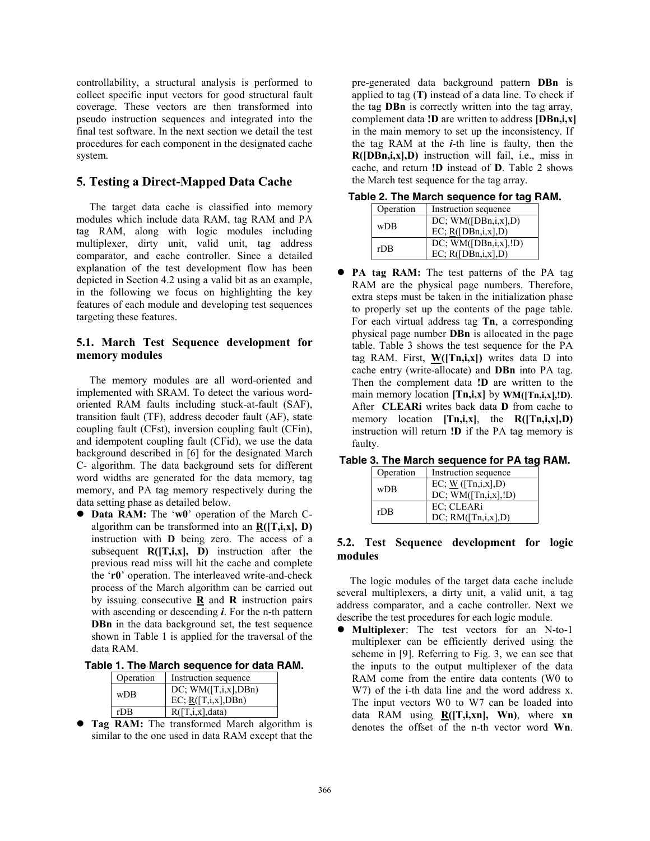controllability, a structural analysis is performed to collect specific input vectors for good structural fault coverage. These vectors are then transformed into pseudo instruction sequences and integrated into the final test software. In the next section we detail the test procedures for each component in the designated cache system.

## **5. Testing a Direct-Mapped Data Cache**

The target data cache is classified into memory modules which include data RAM, tag RAM and PA tag RAM, along with logic modules including multiplexer, dirty unit, valid unit, tag address comparator, and cache controller. Since a detailed explanation of the test development flow has been depicted in Section 4.2 using a valid bit as an example, in the following we focus on highlighting the key features of each module and developing test sequences targeting these features.

#### **5.1. March Test Sequence development for memory modules**

The memory modules are all word-oriented and implemented with SRAM. To detect the various wordoriented RAM faults including stuck-at-fault (SAF), transition fault (TF), address decoder fault (AF), state coupling fault (CFst), inversion coupling fault (CFin), and idempotent coupling fault (CFid), we use the data background described in [6] for the designated March C- algorithm. The data background sets for different word widths are generated for the data memory, tag memory, and PA tag memory respectively during the data setting phase as detailed below.

**• Data RAM:** The 'w<sub>0</sub>' operation of the March Calgorithm can be transformed into an **R([T,i,x], D)** instruction with **D** being zero. The access of a subsequent  $R([T,i,x], D)$  instruction after the previous read miss will hit the cache and complete the '**r0**' operation. The interleaved write-and-check process of the March algorithm can be carried out by issuing consecutive **R** and **R** instruction pairs with ascending or descending *i*. For the n-th pattern **DBn** in the data background set, the test sequence shown in Table 1 is applied for the traversal of the data RAM.

**Table 1. The March sequence for data RAM.** 

| Operation | Instruction sequence                                  |
|-----------|-------------------------------------------------------|
| wDB.      | $DC$ ; WM( $[T, i, x]$ , DBn)<br>EC; $R([T,i,x],DBn)$ |
| rDR       | R([T,i,x], data)                                      |

**• Tag RAM:** The transformed March algorithm is similar to the one used in data RAM except that the pre-generated data background pattern **DBn** is applied to tag (**T)** instead of a data line. To check if the tag **DBn** is correctly written into the tag array, complement data **!D** are written to address **[DBn,i,x]**  in the main memory to set up the inconsistency. If the tag RAM at the *i*-th line is faulty, then the **R([DBn,i,x],D)** instruction will fail, i.e., miss in cache, and return **!D** instead of **D**. Table 2 shows the March test sequence for the tag array.

| Table 2. The March sequence for tag RAM. |
|------------------------------------------|
|------------------------------------------|

| Operation       | Instruction sequence            |
|-----------------|---------------------------------|
| wDB             | $DC$ ; $WM([DBn,i,x],D)$        |
|                 | EC; $R([DBn,i,x],D)$            |
| r <sub>DB</sub> | $DC$ ; WM( $[DBn,i,x]$ ,! $D$ ) |
|                 | EC; R([DBn,i,x],D)              |

• PA tag RAM: The test patterns of the PA tag RAM are the physical page numbers. Therefore, extra steps must be taken in the initialization phase to properly set up the contents of the page table. For each virtual address tag **Tn**, a corresponding physical page number **DBn** is allocated in the page table. Table 3 shows the test sequence for the PA tag RAM. First, **W([Tn,i,x])** writes data D into cache entry (write-allocate) and **DBn** into PA tag. Then the complement data **!D** are written to the main memory location **[Tn,i,x]** by **WM([Tn,i,x],!D)**. After **CLEARi** writes back data **D** from cache to memory location **[Tn,i,x]**, the **R([Tn,i,x],D)** instruction will return **!D** if the PA tag memory is faulty.

| Table 3. The March sequence for PA tag RAM. |  |  |  |  |  |  |  |  |
|---------------------------------------------|--|--|--|--|--|--|--|--|
|---------------------------------------------|--|--|--|--|--|--|--|--|

| Operation | Instruction sequence                                      |
|-----------|-----------------------------------------------------------|
| wDB       | EC; $\underline{W}$ ([Tn,i,x],D)<br>DC; $WM([Tn,i,x],!D)$ |
| rDB       | EC; CLEARi<br>DC; RM([Tn,i,x],D)                          |

### **5.2. Test Sequence development for logic modules**

The logic modules of the target data cache include several multiplexers, a dirty unit, a valid unit, a tag address comparator, and a cache controller. Next we describe the test procedures for each logic module.

**Multiplexer**: The test vectors for an N-to-1 multiplexer can be efficiently derived using the scheme in [9]. Referring to Fig. 3, we can see that the inputs to the output multiplexer of the data RAM come from the entire data contents (W0 to W7) of the i-th data line and the word address x. The input vectors W0 to W7 can be loaded into data RAM using **R([T,i,xn], Wn)**, where **xn** denotes the offset of the n-th vector word **Wn**.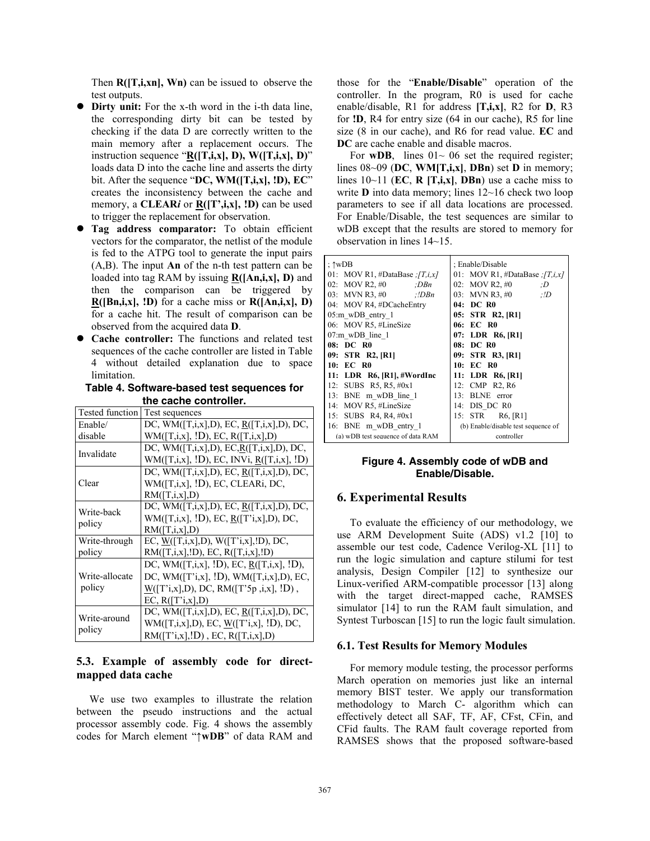Then **R([T,i,xn], Wn)** can be issued to observe the test outputs.

- **Dirty unit:** For the x-th word in the i-th data line, the corresponding dirty bit can be tested by checking if the data D are correctly written to the main memory after a replacement occurs. The instruction sequence " $R([T,i,x], D)$ , W([T,i,x], D)" loads data D into the cache line and asserts the dirty bit. After the sequence "**DC, WM([T,i,x], !D), EC**" creates the inconsistency between the cache and memory, a **CLEAR***i* or **R([T',i,x], !D)** can be used to trigger the replacement for observation.
- **Tag address comparator:** To obtain efficient vectors for the comparator, the netlist of the module is fed to the ATPG tool to generate the input pairs (A,B). The input **An** of the n-th test pattern can be loaded into tag RAM by issuing **R([An,i,x], D)** and then the comparison can be triggered by  $R([Bn,i,x], 'D)$  for a cache miss or  $R([An,i,x], D)$ for a cache hit. The result of comparison can be observed from the acquired data **D**.
- **Cache controller:** The functions and related test sequences of the cache controller are listed in Table 4 without detailed explanation due to space limitation.

**Table 4. Software-based test sequences for the cache controller.** 

| <b>Tested function</b> | Test sequences                                          |
|------------------------|---------------------------------------------------------|
| Enable/                | DC, WM([T,i,x],D), EC, $R([T,i,x],D)$ , DC,             |
| disable                | WM([T,i,x], !D), EC, R([T,i,x],D)                       |
|                        | DC, WM( $[T, i, x]$ ,D), EC, $R([T, i, x]$ ,D), DC,     |
| Invalidate             | WM([T,i,x], !D), EC, INVi, $R([T,i,x], !D)$             |
|                        | DC, WM( $[T, i, x]$ , D), EC, $R([T, i, x]$ , D), DC,   |
| Clear                  | WM([T,i,x], !D), EC, CLEARI, DC,                        |
|                        | RM([T,i,x],D)                                           |
| Write-back<br>policy   | DC, WM([T,i,x],D), EC, $R([T,i,x],D)$ , DC,             |
|                        | WM([T,i,x], !D), EC, <u>R([T'i,x],D)</u> , DC,          |
|                        | RM([T,i,x],D)                                           |
| Write-through          | EC, $W([T,i,x],D)$ , $W([T'i,x],D)$ , DC,               |
| policy                 | $RM([T,i,x],!D)$ , EC, $R([T,i,x],!D)$                  |
|                        | DC, WM([T,i,x], !D), EC, $\underline{R}([T,i,x], !D)$ , |
| Write-allocate         | DC, WM( $[T'i,x]$ , !D), WM( $[T,i,x]$ ,D), EC,         |
| policy                 | $W([T'i,x],D)$ , DC, RM( $[T'5p, i,x]$ , !D),           |
|                        | EC, $R([T'i,x],D)$                                      |
|                        | DC, WM([T,i,x],D), EC, $R([T,i,x],D)$ , DC,             |
| Write-around           | $WM([T,i,x],D), EC, W([T'i,x], !D), DC,$                |
| policy                 | $RM([T'i,x], !D)$ , EC, $R([T,i,x], D)$                 |

### **5.3. Example of assembly code for directmapped data cache**

We use two examples to illustrate the relation between the pseudo instructions and the actual processor assembly code. Fig. 4 shows the assembly codes for March element "**↑wDB**" of data RAM and

those for the "**Enable/Disable**" operation of the controller. In the program, R0 is used for cache enable/disable, R1 for address **[T,i,x]**, R2 for **D**, R3 for **!D**, R4 for entry size (64 in our cache), R5 for line size (8 in our cache), and R6 for read value. **EC** and **DC** are cache enable and disable macros.

For **wDB**, lines  $01 \sim 06$  set the required register; lines 08~09 (**DC**, **WM[T,i,x]**, **DBn**) set **D** in memory; lines  $10~11$  (EC, **R** [T,i,x], **DBn**) use a cache miss to write **D** into data memory; lines 12~16 check two loop parameters to see if all data locations are processed. For Enable/Disable, the test sequences are similar to wDB except that the results are stored to memory for observation in lines 14~15.

| : $\uparrow$ wDB                    | : Enable/Disable                    |  |  |  |  |
|-------------------------------------|-------------------------------------|--|--|--|--|
| 01: MOV R1, #DataBase ; $[T, i, x]$ | 01: MOV R1, #DataBase ; $[T, i, x]$ |  |  |  |  |
| 02: MOV R2, $\#0$<br>: $DBn$        | 02: MOV R2, #0<br>:D                |  |  |  |  |
| 03: MVN R3, #0<br>:/DBn             | 03: MVN R3, #0<br>:!D               |  |  |  |  |
| 04: MOV R4, #DCacheEntry            | 04:DCR0                             |  |  |  |  |
| 05:m wDB entry 1                    | 05: STR R2, [R1]                    |  |  |  |  |
| 06: MOV R5, #LineSize               | 06: EC R0                           |  |  |  |  |
| $07:m$ wDB line 1                   | 07: LDR R6, [R1]                    |  |  |  |  |
| 08: DC R0                           | 08: DC R0                           |  |  |  |  |
| 09: STR R2, [R1]                    | 09: STR R3, [R1]                    |  |  |  |  |
| 10: EC R0                           | 10: EC R0                           |  |  |  |  |
| 11: LDR $R6$ , [R1], #WordInc       | 11: LDR R6, [R1]                    |  |  |  |  |
| 12: SUBS R5, R5, $\#0x1$            | 12: CMP R2, R6                      |  |  |  |  |
| 13: BNE m wDB line 1                | 13:<br>BLNE error                   |  |  |  |  |
| 14: MOV R5, #LineSize               | 14: DIS DC R0                       |  |  |  |  |
| 15: SUBS R4, R4, #0x1               | 15: STR R6, [R1]                    |  |  |  |  |
| 16: BNE m wDB entry 1               | (b) Enable/disable test sequence of |  |  |  |  |
| (a) wDB test sequence of data RAM   | controller                          |  |  |  |  |

### **Figure 4. Assembly code of wDB and Enable/Disable.**

## **6. Experimental Results**

To evaluate the efficiency of our methodology, we use ARM Development Suite (ADS) v1.2 [10] to assemble our test code, Cadence Verilog-XL [11] to run the logic simulation and capture stilumi for test analysis, Design Compiler [12] to synthesize our Linux-verified ARM-compatible processor [13] along with the target direct-mapped cache, RAMSES simulator [14] to run the RAM fault simulation, and Syntest Turboscan [15] to run the logic fault simulation.

#### **6.1. Test Results for Memory Modules**

For memory module testing, the processor performs March operation on memories just like an internal memory BIST tester. We apply our transformation methodology to March C- algorithm which can effectively detect all SAF, TF, AF, CFst, CFin, and CFid faults. The RAM fault coverage reported from RAMSES shows that the proposed software-based